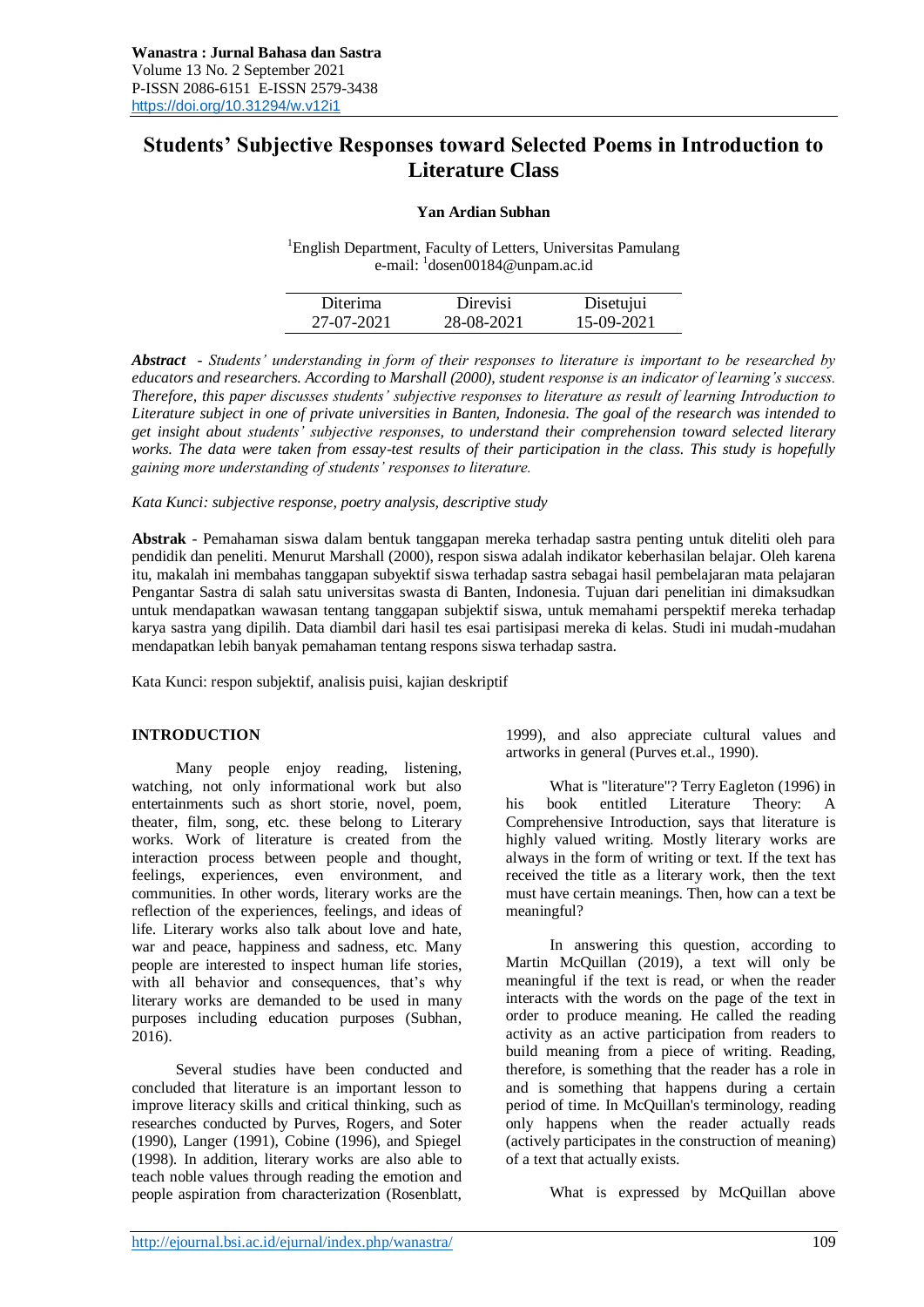# **Students' Subjective Responses toward Selected Poems in Introduction to Literature Class**

### **Yan Ardian Subhan**

<sup>1</sup>English Department, Faculty of Letters, Universitas Pamulang e-mail: <sup>1</sup>dosen00184@unpam.ac.id

| Diterima   | <b>Direvisi</b> | Disetujui  |
|------------|-----------------|------------|
| 27-07-2021 | 28-08-2021      | 15-09-2021 |

*Abstract - Students' understanding in form of their responses to literature is important to be researched by educators and researchers. According to Marshall (2000), student response is an indicator of learning's success. Therefore, this paper discusses students' subjective responses to literature as result of learning Introduction to Literature subject in one of private universities in Banten, Indonesia. The goal of the research was intended to get insight about students' subjective responses, to understand their comprehension toward selected literary works. The data were taken from essay-test results of their participation in the class. This study is hopefully gaining more understanding of students' responses to literature.*

*Kata Kunci: subjective response, poetry analysis, descriptive study*

**Abstrak** - Pemahaman siswa dalam bentuk tanggapan mereka terhadap sastra penting untuk diteliti oleh para pendidik dan peneliti. Menurut Marshall (2000), respon siswa adalah indikator keberhasilan belajar. Oleh karena itu, makalah ini membahas tanggapan subyektif siswa terhadap sastra sebagai hasil pembelajaran mata pelajaran Pengantar Sastra di salah satu universitas swasta di Banten, Indonesia. Tujuan dari penelitian ini dimaksudkan untuk mendapatkan wawasan tentang tanggapan subjektif siswa, untuk memahami perspektif mereka terhadap karya sastra yang dipilih. Data diambil dari hasil tes esai partisipasi mereka di kelas. Studi ini mudah-mudahan mendapatkan lebih banyak pemahaman tentang respons siswa terhadap sastra.

Kata Kunci: respon subjektif, analisis puisi, kajian deskriptif

### **INTRODUCTION**

Many people enjoy reading, listening, watching, not only informational work but also entertainments such as short storie, novel, poem, theater, film, song, etc. these belong to Literary works. Work of literature is created from the interaction process between people and thought, feelings, experiences, even environment, and communities. In other words, literary works are the reflection of the experiences, feelings, and ideas of life. Literary works also talk about love and hate, war and peace, happiness and sadness, etc. Many people are interested to inspect human life stories, with all behavior and consequences, that's why literary works are demanded to be used in many purposes including education purposes (Subhan, 2016).

Several studies have been conducted and concluded that literature is an important lesson to improve literacy skills and critical thinking, such as researches conducted by Purves, Rogers, and Soter (1990), Langer (1991), Cobine (1996), and Spiegel (1998). In addition, literary works are also able to teach noble values through reading the emotion and people aspiration from characterization (Rosenblatt, 1999), and also appreciate cultural values and artworks in general (Purves et.al., 1990).

What is "literature"? Terry Eagleton (1996) in his book entitled Literature Theory: A Comprehensive Introduction, says that literature is highly valued writing. Mostly literary works are always in the form of writing or text. If the text has received the title as a literary work, then the text must have certain meanings. Then, how can a text be meaningful?

In answering this question, according to Martin McQuillan (2019), a text will only be meaningful if the text is read, or when the reader interacts with the words on the page of the text in order to produce meaning. He called the reading activity as an active participation from readers to build meaning from a piece of writing. Reading, therefore, is something that the reader has a role in and is something that happens during a certain period of time. In McQuillan's terminology, reading only happens when the reader actually reads (actively participates in the construction of meaning) of a text that actually exists.

What is expressed by McQuillan above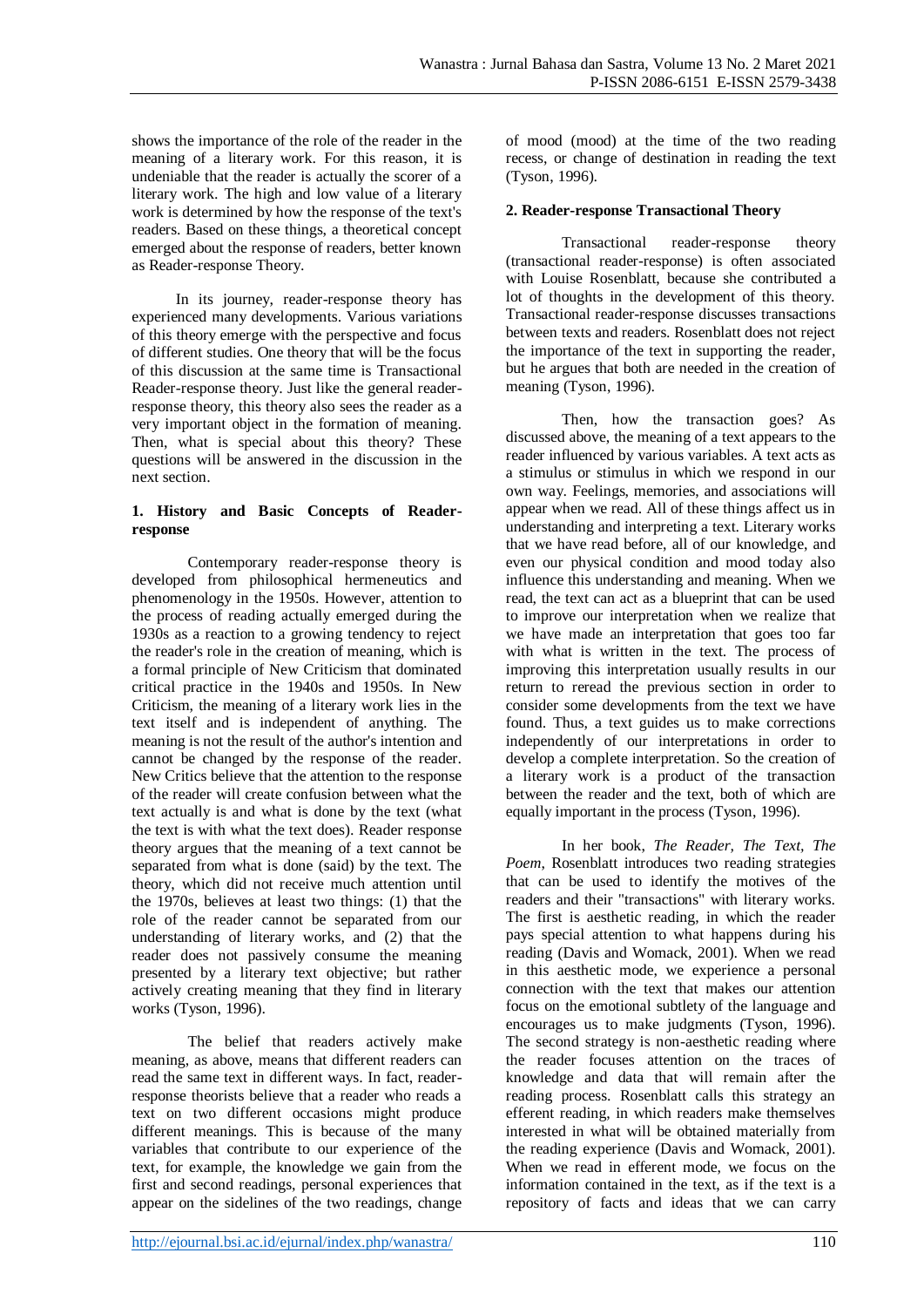shows the importance of the role of the reader in the meaning of a literary work. For this reason, it is undeniable that the reader is actually the scorer of a literary work. The high and low value of a literary work is determined by how the response of the text's readers. Based on these things, a theoretical concept emerged about the response of readers, better known as Reader-response Theory.

In its journey, reader-response theory has experienced many developments. Various variations of this theory emerge with the perspective and focus of different studies. One theory that will be the focus of this discussion at the same time is Transactional Reader-response theory. Just like the general readerresponse theory, this theory also sees the reader as a very important object in the formation of meaning. Then, what is special about this theory? These questions will be answered in the discussion in the next section.

### **1. History and Basic Concepts of Readerresponse**

Contemporary reader-response theory is developed from philosophical hermeneutics and phenomenology in the 1950s. However, attention to the process of reading actually emerged during the 1930s as a reaction to a growing tendency to reject the reader's role in the creation of meaning, which is a formal principle of New Criticism that dominated critical practice in the 1940s and 1950s. In New Criticism, the meaning of a literary work lies in the text itself and is independent of anything. The meaning is not the result of the author's intention and cannot be changed by the response of the reader. New Critics believe that the attention to the response of the reader will create confusion between what the text actually is and what is done by the text (what the text is with what the text does). Reader response theory argues that the meaning of a text cannot be separated from what is done (said) by the text. The theory, which did not receive much attention until the 1970s, believes at least two things: (1) that the role of the reader cannot be separated from our understanding of literary works, and (2) that the reader does not passively consume the meaning presented by a literary text objective; but rather actively creating meaning that they find in literary works (Tyson, 1996).

The belief that readers actively make meaning, as above, means that different readers can read the same text in different ways. In fact, readerresponse theorists believe that a reader who reads a text on two different occasions might produce different meanings. This is because of the many variables that contribute to our experience of the text, for example, the knowledge we gain from the first and second readings, personal experiences that appear on the sidelines of the two readings, change

of mood (mood) at the time of the two reading recess, or change of destination in reading the text (Tyson, 1996).

## **2. Reader-response Transactional Theory**

Transactional reader-response theory (transactional reader-response) is often associated with Louise Rosenblatt, because she contributed a lot of thoughts in the development of this theory. Transactional reader-response discusses transactions between texts and readers. Rosenblatt does not reject the importance of the text in supporting the reader, but he argues that both are needed in the creation of meaning (Tyson, 1996).

Then, how the transaction goes? As discussed above, the meaning of a text appears to the reader influenced by various variables. A text acts as a stimulus or stimulus in which we respond in our own way. Feelings, memories, and associations will appear when we read. All of these things affect us in understanding and interpreting a text. Literary works that we have read before, all of our knowledge, and even our physical condition and mood today also influence this understanding and meaning. When we read, the text can act as a blueprint that can be used to improve our interpretation when we realize that we have made an interpretation that goes too far with what is written in the text. The process of improving this interpretation usually results in our return to reread the previous section in order to consider some developments from the text we have found. Thus, a text guides us to make corrections independently of our interpretations in order to develop a complete interpretation. So the creation of a literary work is a product of the transaction between the reader and the text, both of which are equally important in the process (Tyson, 1996).

In her book, *The Reader, The Text, The Poem*, Rosenblatt introduces two reading strategies that can be used to identify the motives of the readers and their "transactions" with literary works. The first is aesthetic reading, in which the reader pays special attention to what happens during his reading (Davis and Womack, 2001). When we read in this aesthetic mode, we experience a personal connection with the text that makes our attention focus on the emotional subtlety of the language and encourages us to make judgments (Tyson, 1996). The second strategy is non-aesthetic reading where the reader focuses attention on the traces of knowledge and data that will remain after the reading process. Rosenblatt calls this strategy an efferent reading, in which readers make themselves interested in what will be obtained materially from the reading experience (Davis and Womack, 2001). When we read in efferent mode, we focus on the information contained in the text, as if the text is a repository of facts and ideas that we can carry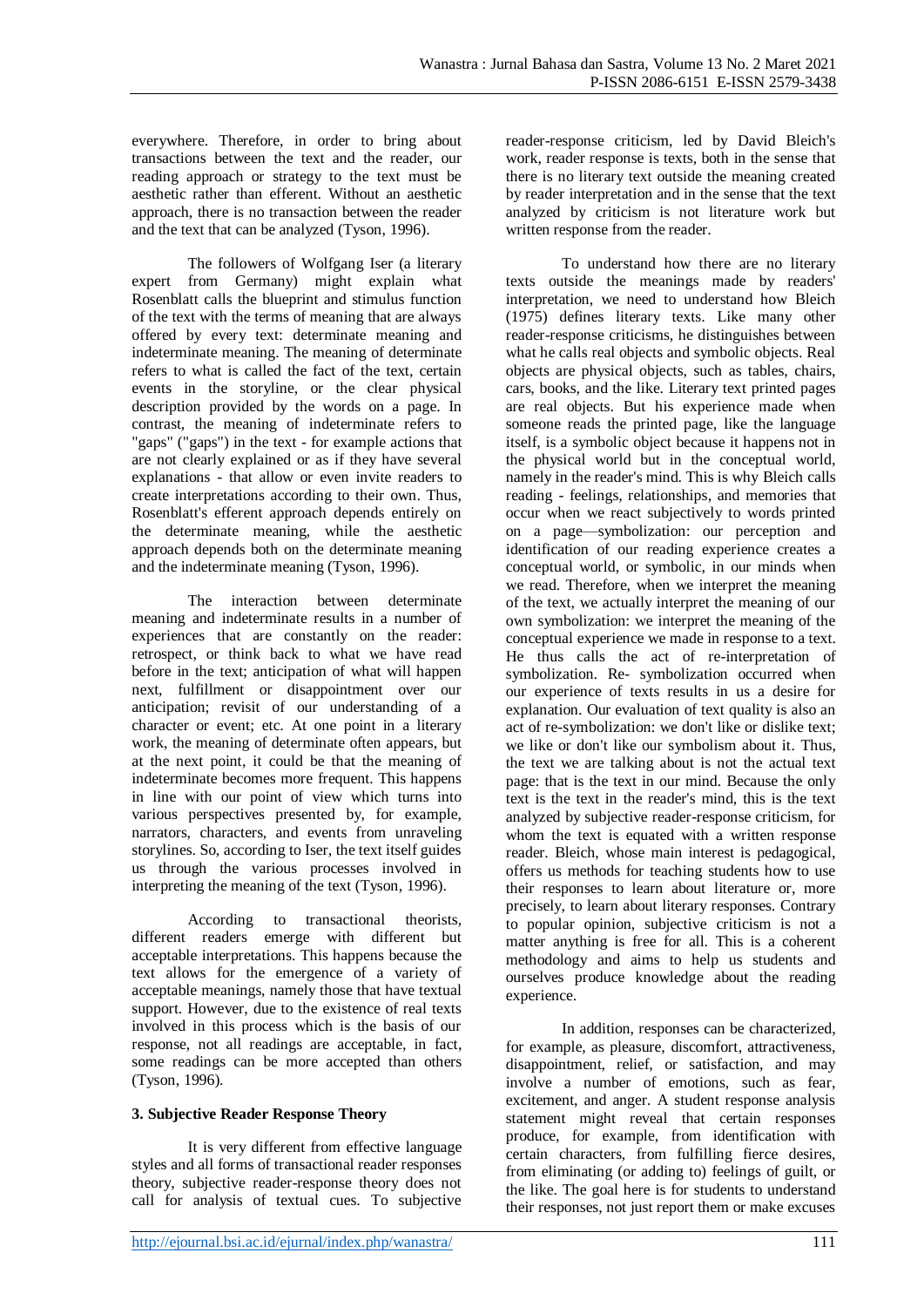everywhere. Therefore, in order to bring about transactions between the text and the reader, our reading approach or strategy to the text must be aesthetic rather than efferent. Without an aesthetic approach, there is no transaction between the reader and the text that can be analyzed (Tyson, 1996).

The followers of Wolfgang Iser (a literary expert from Germany) might explain what Rosenblatt calls the blueprint and stimulus function of the text with the terms of meaning that are always offered by every text: determinate meaning and indeterminate meaning. The meaning of determinate refers to what is called the fact of the text, certain events in the storyline, or the clear physical description provided by the words on a page. In contrast, the meaning of indeterminate refers to "gaps" ("gaps") in the text - for example actions that are not clearly explained or as if they have several explanations - that allow or even invite readers to create interpretations according to their own. Thus, Rosenblatt's efferent approach depends entirely on the determinate meaning, while the aesthetic approach depends both on the determinate meaning and the indeterminate meaning (Tyson, 1996).

The interaction between determinate meaning and indeterminate results in a number of experiences that are constantly on the reader: retrospect, or think back to what we have read before in the text; anticipation of what will happen next, fulfillment or disappointment over our anticipation; revisit of our understanding of a character or event; etc. At one point in a literary work, the meaning of determinate often appears, but at the next point, it could be that the meaning of indeterminate becomes more frequent. This happens in line with our point of view which turns into various perspectives presented by, for example, narrators, characters, and events from unraveling storylines. So, according to Iser, the text itself guides us through the various processes involved in interpreting the meaning of the text (Tyson, 1996).

According to transactional theorists, different readers emerge with different but acceptable interpretations. This happens because the text allows for the emergence of a variety of acceptable meanings, namely those that have textual support. However, due to the existence of real texts involved in this process which is the basis of our response, not all readings are acceptable, in fact, some readings can be more accepted than others (Tyson, 1996).

### **3. Subjective Reader Response Theory**

It is very different from effective language styles and all forms of transactional reader responses theory, subjective reader-response theory does not call for analysis of textual cues. To subjective

reader-response criticism, led by David Bleich's work, reader response is texts, both in the sense that there is no literary text outside the meaning created by reader interpretation and in the sense that the text analyzed by criticism is not literature work but written response from the reader.

To understand how there are no literary texts outside the meanings made by readers' interpretation, we need to understand how Bleich (1975) defines literary texts. Like many other reader-response criticisms, he distinguishes between what he calls real objects and symbolic objects. Real objects are physical objects, such as tables, chairs, cars, books, and the like. Literary text printed pages are real objects. But his experience made when someone reads the printed page, like the language itself, is a symbolic object because it happens not in the physical world but in the conceptual world, namely in the reader's mind. This is why Bleich calls reading - feelings, relationships, and memories that occur when we react subjectively to words printed on a page—symbolization: our perception and identification of our reading experience creates a conceptual world, or symbolic, in our minds when we read. Therefore, when we interpret the meaning of the text, we actually interpret the meaning of our own symbolization: we interpret the meaning of the conceptual experience we made in response to a text. He thus calls the act of re-interpretation of symbolization. Re- symbolization occurred when our experience of texts results in us a desire for explanation. Our evaluation of text quality is also an act of re-symbolization: we don't like or dislike text; we like or don't like our symbolism about it. Thus, the text we are talking about is not the actual text page: that is the text in our mind. Because the only text is the text in the reader's mind, this is the text analyzed by subjective reader-response criticism, for whom the text is equated with a written response reader. Bleich, whose main interest is pedagogical, offers us methods for teaching students how to use their responses to learn about literature or, more precisely, to learn about literary responses. Contrary to popular opinion, subjective criticism is not a matter anything is free for all. This is a coherent methodology and aims to help us students and ourselves produce knowledge about the reading experience.

In addition, responses can be characterized, for example, as pleasure, discomfort, attractiveness, disappointment, relief, or satisfaction, and may involve a number of emotions, such as fear, excitement, and anger. A student response analysis statement might reveal that certain responses produce, for example, from identification with certain characters, from fulfilling fierce desires, from eliminating (or adding to) feelings of guilt, or the like. The goal here is for students to understand their responses, not just report them or make excuses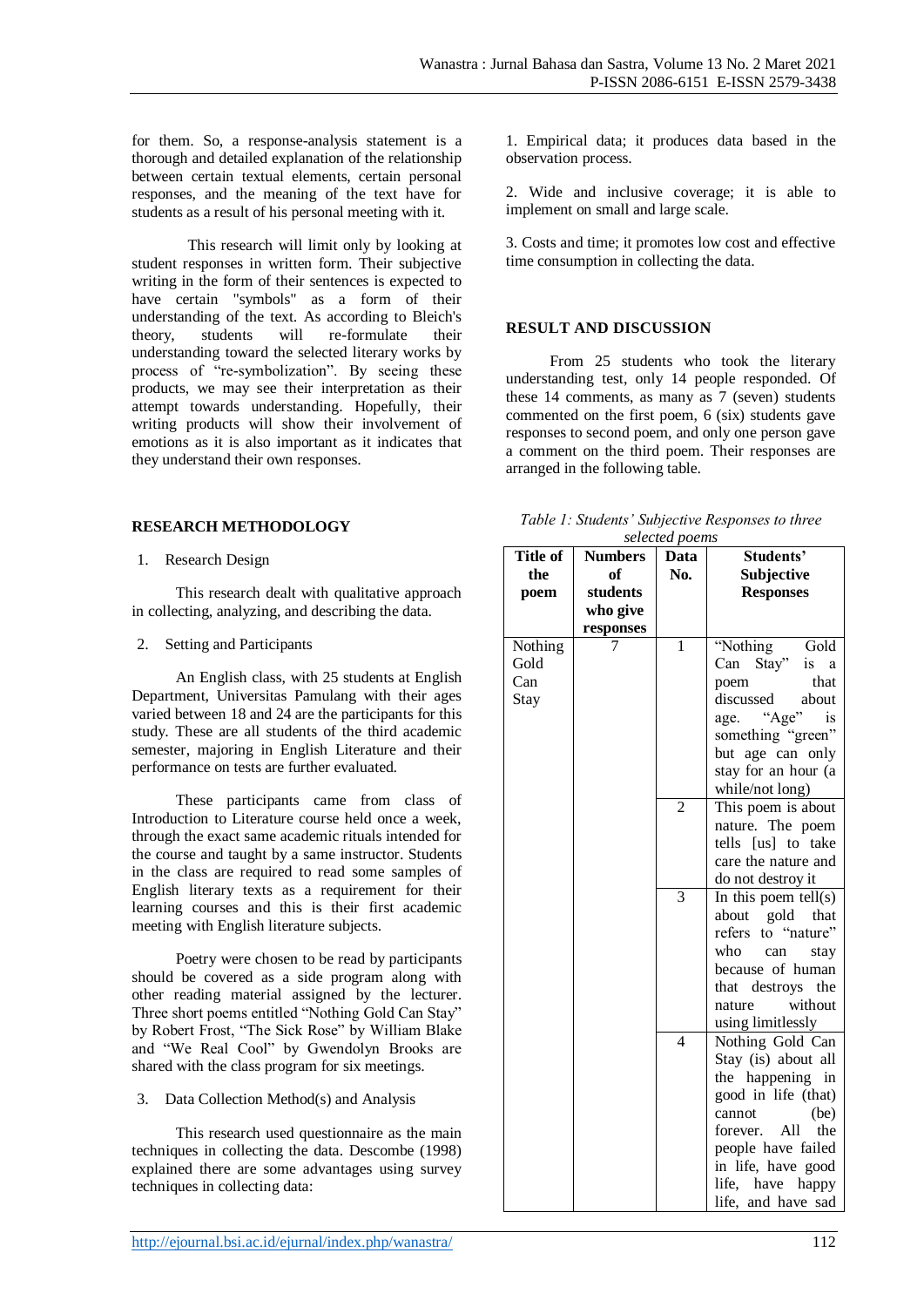for them. So, a response-analysis statement is a thorough and detailed explanation of the relationship between certain textual elements, certain personal responses, and the meaning of the text have for students as a result of his personal meeting with it.

This research will limit only by looking at student responses in written form. Their subjective writing in the form of their sentences is expected to have certain "symbols" as a form of their understanding of the text. As according to Bleich's theory, students will re-formulate their understanding toward the selected literary works by process of "re-symbolization". By seeing these products, we may see their interpretation as their attempt towards understanding. Hopefully, their writing products will show their involvement of emotions as it is also important as it indicates that they understand their own responses.

### **RESEARCH METHODOLOGY**

1. Research Design

This research dealt with qualitative approach in collecting, analyzing, and describing the data.

2. Setting and Participants

An English class, with 25 students at English Department, Universitas Pamulang with their ages varied between 18 and 24 are the participants for this study. These are all students of the third academic semester, majoring in English Literature and their performance on tests are further evaluated.

These participants came from class of Introduction to Literature course held once a week, through the exact same academic rituals intended for the course and taught by a same instructor. Students in the class are required to read some samples of English literary texts as a requirement for their learning courses and this is their first academic meeting with English literature subjects.

Poetry were chosen to be read by participants should be covered as a side program along with other reading material assigned by the lecturer. Three short poems entitled "Nothing Gold Can Stay" by Robert Frost, "The Sick Rose" by William Blake and "We Real Cool" by Gwendolyn Brooks are shared with the class program for six meetings.

#### 3. Data Collection Method(s) and Analysis

This research used questionnaire as the main techniques in collecting the data. Descombe (1998) explained there are some advantages using survey techniques in collecting data:

1. Empirical data; it produces data based in the observation process.

2. Wide and inclusive coverage; it is able to implement on small and large scale.

3. Costs and time; it promotes low cost and effective time consumption in collecting the data.

### **RESULT AND DISCUSSION**

From 25 students who took the literary understanding test, only 14 people responded. Of these 14 comments, as many as 7 (seven) students commented on the first poem, 6 (six) students gave responses to second poem, and only one person gave a comment on the third poem. Their responses are arranged in the following table.

| Table 1: Students' Subjective Responses to three |  |
|--------------------------------------------------|--|
| selected poems                                   |  |

| <b>Title of</b> | <b>Numbers</b> | scieciea poems<br>Data | Students'              |
|-----------------|----------------|------------------------|------------------------|
| the             | of             | No.                    | Subjective             |
|                 |                |                        |                        |
| poem            | students       |                        | <b>Responses</b>       |
|                 | who give       |                        |                        |
|                 | responses      |                        |                        |
| Nothing         |                | 1                      | "Nothing<br>Gold       |
| Gold            |                |                        | Can Stay"<br>is<br>a   |
| Can             |                |                        | that<br>poem           |
| Stay            |                |                        | discussed<br>about     |
|                 |                |                        | "Age"<br>is<br>age.    |
|                 |                |                        | something "green"      |
|                 |                |                        | but age can only       |
|                 |                |                        | stay for an hour (a    |
|                 |                |                        | while/not long)        |
|                 |                | $\overline{2}$         | This poem is about     |
|                 |                |                        | nature. The poem       |
|                 |                |                        | tells [us] to take     |
|                 |                |                        | care the nature and    |
|                 |                |                        | do not destroy it      |
|                 |                | $\overline{3}$         | In this poem $tell(s)$ |
|                 |                |                        | about gold that        |
|                 |                |                        | to "nature"<br>refers  |
|                 |                |                        | who<br>can<br>stay     |
|                 |                |                        | because of human       |
|                 |                |                        | that destroys the      |
|                 |                |                        | without<br>nature      |
|                 |                |                        | using limitlessly      |
|                 |                | $\overline{4}$         | Nothing Gold Can       |
|                 |                |                        | Stay (is) about all    |
|                 |                |                        | the happening<br>in    |
|                 |                |                        | good in life (that)    |
|                 |                |                        | (be)<br>cannot         |
|                 |                |                        | All<br>forever.<br>the |
|                 |                |                        | people have failed     |
|                 |                |                        | in life, have good     |
|                 |                |                        | life, have<br>happy    |
|                 |                |                        | life, and have sad     |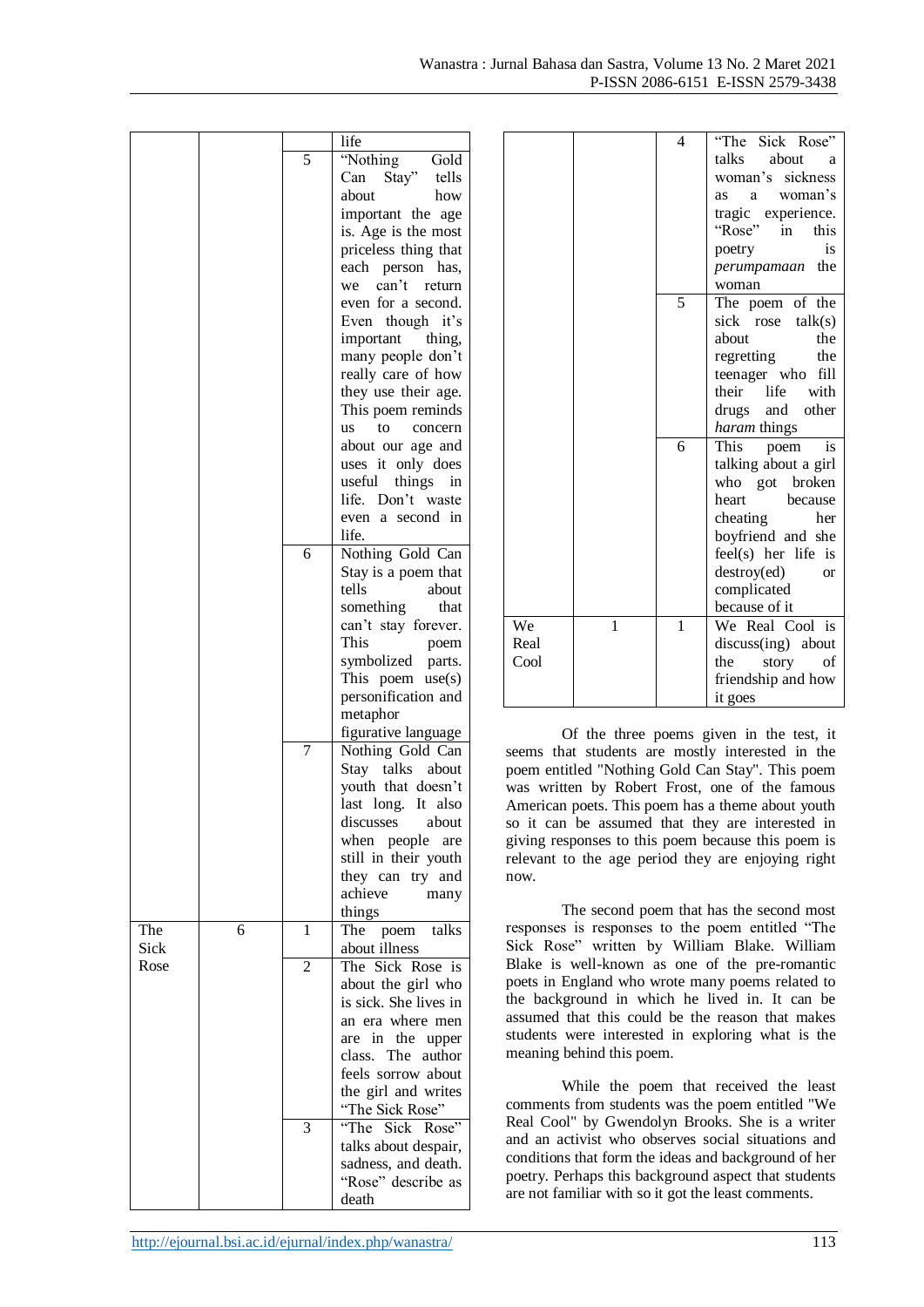|      |   |                | life                       |
|------|---|----------------|----------------------------|
|      |   | 5              | "Nothing<br>Gold           |
|      |   |                | Stay" tells<br>Can         |
|      |   |                | about<br>how               |
|      |   |                | important the age          |
|      |   |                | is. Age is the most        |
|      |   |                | priceless thing that       |
|      |   |                | each person has,           |
|      |   |                | we can't<br>return         |
|      |   |                |                            |
|      |   |                | even for a second.         |
|      |   |                | Even though it's           |
|      |   |                | important<br>thing,        |
|      |   |                | many people don't          |
|      |   |                | really care of how         |
|      |   |                | they use their age.        |
|      |   |                | This poem reminds          |
|      |   |                | to<br><b>us</b><br>concern |
|      |   |                | about our age and          |
|      |   |                | uses it only does          |
|      |   |                | useful<br>things<br>in     |
|      |   |                | life. Don't waste          |
|      |   |                | even a second in           |
|      |   |                |                            |
|      |   |                | life.                      |
|      |   | 6              | Nothing Gold Can           |
|      |   |                | Stay is a poem that        |
|      |   |                | tells<br>about             |
|      |   |                | something<br>that          |
|      |   |                | can't stay forever.        |
|      |   |                | This<br>poem               |
|      |   |                | symbolized parts.          |
|      |   |                | This poem use(s)           |
|      |   |                | personification and        |
|      |   |                | metaphor                   |
|      |   |                | figurative language        |
|      |   | 7              | Nothing Gold Can           |
|      |   |                | Stay talks<br>about        |
|      |   |                |                            |
|      |   |                | youth that doesn't         |
|      |   |                | last long. It also         |
|      |   |                | discusses about            |
|      |   |                | when people are            |
|      |   |                | still in their youth       |
|      |   |                | they can try and           |
|      |   |                | achieve many               |
|      |   |                | things                     |
| The  | 6 | $\mathbf{1}$   | The poem talks             |
| Sick |   |                | about illness              |
| Rose |   | $\overline{c}$ | The Sick Rose is           |
|      |   |                | about the girl who         |
|      |   |                | is sick. She lives in      |
|      |   |                |                            |
|      |   |                | an era where men           |
|      |   |                | are in the upper           |
|      |   |                | class. The author          |
|      |   |                | feels sorrow about         |
|      |   |                | the girl and writes        |
|      |   |                | "The Sick Rose"            |
|      |   | 3              | "The<br>Sick<br>Rose"      |
|      |   |                | talks about despair,       |
|      |   |                | sadness, and death.        |
|      |   |                | "Rose" describe as         |
|      |   |                | death                      |
|      |   |                |                            |

|      |   | $\overline{4}$ | "The Sick Rose"          |
|------|---|----------------|--------------------------|
|      |   |                | talks<br>about<br>a      |
|      |   |                | woman's sickness         |
|      |   |                | as a woman's             |
|      |   |                | tragic experience.       |
|      |   |                | "Rose" in<br>this        |
|      |   |                | is<br>poetry             |
|      |   |                | the<br>perumpamaan       |
|      |   |                | woman                    |
|      |   | 5              | The poem of the          |
|      |   |                | sick rose talk(s)        |
|      |   |                | about<br>the             |
|      |   |                | regretting<br>the        |
|      |   |                | teenager who fill        |
|      |   |                | their<br>with<br>life    |
|      |   |                | drugs<br>and other       |
|      |   |                | haram things             |
|      |   | 6              | This<br>poem<br>is       |
|      |   |                | talking about a girl     |
|      |   |                | who got broken           |
|      |   |                | heart<br>because         |
|      |   |                | cheating<br>her          |
|      |   |                | boyfriend and she        |
|      |   |                | feel(s) her life is      |
|      |   |                | destroy(ed)<br><b>or</b> |
|      |   |                | complicated              |
|      |   |                | because of it            |
| We   | 1 | 1              | We Real Cool is          |
| Real |   |                | discuss(ing) about       |
| Cool |   |                | the<br>story<br>of       |
|      |   |                | friendship and how       |
|      |   |                | it goes                  |

Of the three poems given in the test, it seems that students are mostly interested in the poem entitled "Nothing Gold Can Stay". This poem was written by Robert Frost, one of the famous American poets. This poem has a theme about youth so it can be assumed that they are interested in giving responses to this poem because this poem is relevant to the age period they are enjoying right now.

The second poem that has the second most responses is responses to the poem entitled "The Sick Rose" written by William Blake. William Blake is well-known as one of the pre-romantic poets in England who wrote many poems related to the background in which he lived in. It can be assumed that this could be the reason that makes students were interested in exploring what is the meaning behind this poem.

While the poem that received the least comments from students was the poem entitled "We Real Cool" by Gwendolyn Brooks. She is a writer and an activist who observes social situations and conditions that form the ideas and background of her poetry. Perhaps this background aspect that students are not familiar with so it got the least comments.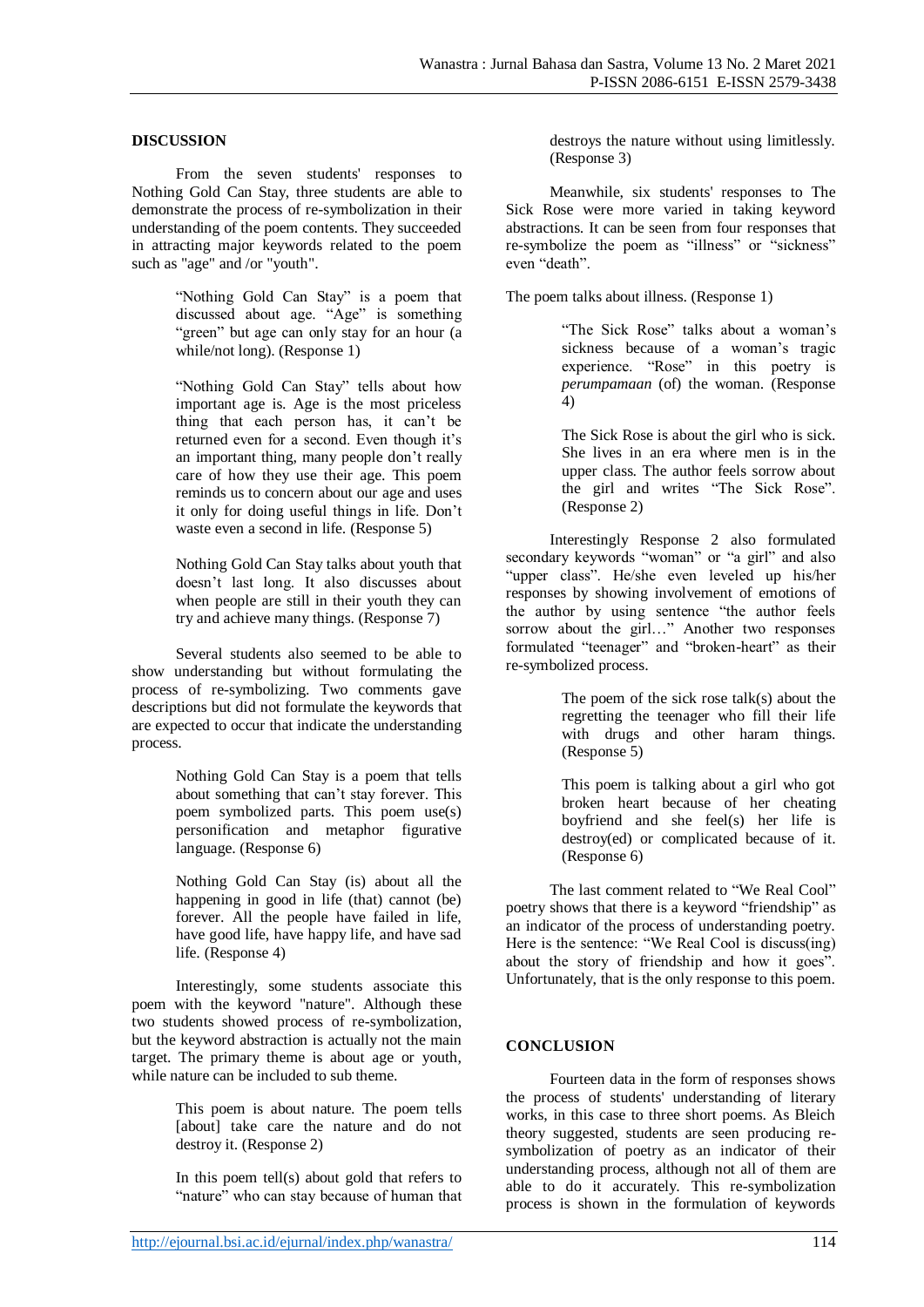#### **DISCUSSION**

From the seven students' responses to Nothing Gold Can Stay, three students are able to demonstrate the process of re-symbolization in their understanding of the poem contents. They succeeded in attracting major keywords related to the poem such as "age" and /or "youth".

> "Nothing Gold Can Stay" is a poem that discussed about age. "Age" is something "green" but age can only stay for an hour (a while/not long). (Response 1)

"Nothing Gold Can Stay" tells about how important age is. Age is the most priceless thing that each person has, it can't be returned even for a second. Even though it's an important thing, many people don't really care of how they use their age. This poem reminds us to concern about our age and uses it only for doing useful things in life. Don't waste even a second in life. (Response 5)

Nothing Gold Can Stay talks about youth that doesn't last long. It also discusses about when people are still in their youth they can try and achieve many things. (Response 7)

Several students also seemed to be able to show understanding but without formulating the process of re-symbolizing. Two comments gave descriptions but did not formulate the keywords that are expected to occur that indicate the understanding process.

> Nothing Gold Can Stay is a poem that tells about something that can't stay forever. This poem symbolized parts. This poem use(s) personification and metaphor figurative language. (Response 6)

> Nothing Gold Can Stay (is) about all the happening in good in life (that) cannot (be) forever. All the people have failed in life, have good life, have happy life, and have sad life. (Response 4)

Interestingly, some students associate this poem with the keyword "nature". Although these two students showed process of re-symbolization, but the keyword abstraction is actually not the main target. The primary theme is about age or youth, while nature can be included to sub theme.

> This poem is about nature. The poem tells [about] take care the nature and do not destroy it. (Response 2)

> In this poem tell(s) about gold that refers to "nature" who can stay because of human that

destroys the nature without using limitlessly. (Response 3)

Meanwhile, six students' responses to The Sick Rose were more varied in taking keyword abstractions. It can be seen from four responses that re-symbolize the poem as "illness" or "sickness" even "death".

The poem talks about illness. (Response 1)

"The Sick Rose" talks about a woman's sickness because of a woman's tragic experience. "Rose" in this poetry is *perumpamaan* (of) the woman. (Response 4)

The Sick Rose is about the girl who is sick. She lives in an era where men is in the upper class. The author feels sorrow about the girl and writes "The Sick Rose". (Response 2)

Interestingly Response 2 also formulated secondary keywords "woman" or "a girl" and also "upper class". He/she even leveled up his/her responses by showing involvement of emotions of the author by using sentence "the author feels sorrow about the girl…" Another two responses formulated "teenager" and "broken-heart" as their re-symbolized process.

> The poem of the sick rose talk(s) about the regretting the teenager who fill their life with drugs and other haram things. (Response 5)

> This poem is talking about a girl who got broken heart because of her cheating boyfriend and she feel(s) her life is destroy(ed) or complicated because of it. (Response 6)

The last comment related to "We Real Cool" poetry shows that there is a keyword "friendship" as an indicator of the process of understanding poetry. Here is the sentence: "We Real Cool is discuss(ing) about the story of friendship and how it goes". Unfortunately, that is the only response to this poem.

### **CONCLUSION**

Fourteen data in the form of responses shows the process of students' understanding of literary works, in this case to three short poems. As Bleich theory suggested, students are seen producing resymbolization of poetry as an indicator of their understanding process, although not all of them are able to do it accurately. This re-symbolization process is shown in the formulation of keywords